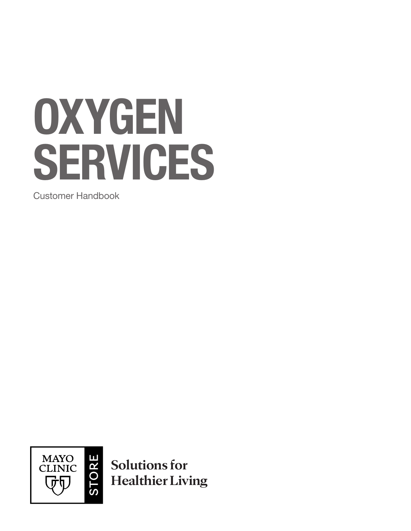# **OXYGEN** SERVICES

Customer Handbook



**Solutions for Healthier Living**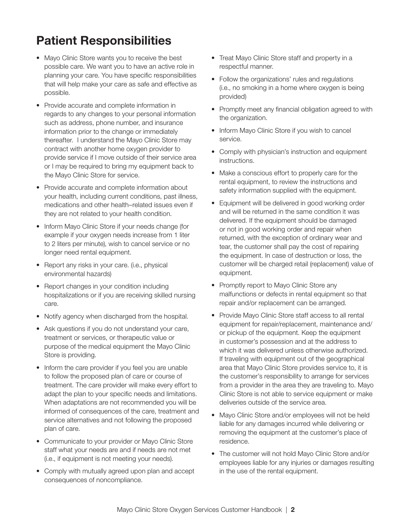## Patient Responsibilities

- Mayo Clinic Store wants you to receive the best possible care. We want you to have an active role in planning your care. You have specific responsibilities that will help make your care as safe and effective as possible.
- Provide accurate and complete information in regards to any changes to your personal information such as address, phone number, and insurance information prior to the change or immediately thereafter. I understand the Mayo Clinic Store may contract with another home oxygen provider to provide service if I move outside of their service area or I may be required to bring my equipment back to the Mayo Clinic Store for service.
- Provide accurate and complete information about your health, including current conditions, past illness, medications and other health–related issues even if they are not related to your health condition.
- Inform Mayo Clinic Store if your needs change (for example if your oxygen needs increase from 1 liter to 2 liters per minute), wish to cancel service or no longer need rental equipment.
- Report any risks in your care. (i.e., physical environmental hazards)
- Report changes in your condition including hospitalizations or if you are receiving skilled nursing care.
- Notify agency when discharged from the hospital.
- Ask questions if you do not understand your care, treatment or services, or therapeutic value or purpose of the medical equipment the Mayo Clinic Store is providing.
- Inform the care provider if you feel you are unable to follow the proposed plan of care or course of treatment. The care provider will make every effort to adapt the plan to your specific needs and limitations. When adaptations are not recommended you will be informed of consequences of the care, treatment and service alternatives and not following the proposed plan of care.
- Communicate to your provider or Mayo Clinic Store staff what your needs are and if needs are not met (i.e., if equipment is not meeting your needs).
- Comply with mutually agreed upon plan and accept consequences of noncompliance.
- Treat Mayo Clinic Store staff and property in a respectful manner.
- Follow the organizations' rules and regulations (i.e., no smoking in a home where oxygen is being provided)
- Promptly meet any financial obligation agreed to with the organization.
- Inform Mayo Clinic Store if you wish to cancel service.
- Comply with physician's instruction and equipment instructions.
- Make a conscious effort to properly care for the rental equipment, to review the instructions and safety information supplied with the equipment.
- Equipment will be delivered in good working order and will be returned in the same condition it was delivered. If the equipment should be damaged or not in good working order and repair when returned, with the exception of ordinary wear and tear, the customer shall pay the cost of repairing the equipment. In case of destruction or loss, the customer will be charged retail (replacement) value of equipment.
- Promptly report to Mayo Clinic Store any malfunctions or defects in rental equipment so that repair and/or replacement can be arranged.
- Provide Mayo Clinic Store staff access to all rental equipment for repair/replacement, maintenance and/ or pickup of the equipment. Keep the equipment in customer's possession and at the address to which it was delivered unless otherwise authorized. If traveling with equipment out of the geographical area that Mayo Clinic Store provides service to, it is the customer's responsibility to arrange for services from a provider in the area they are traveling to. Mayo Clinic Store is not able to service equipment or make deliveries outside of the service area.
- Mayo Clinic Store and/or employees will not be held liable for any damages incurred while delivering or removing the equipment at the customer's place of residence.
- The customer will not hold Mayo Clinic Store and/or employees liable for any injuries or damages resulting in the use of the rental equipment.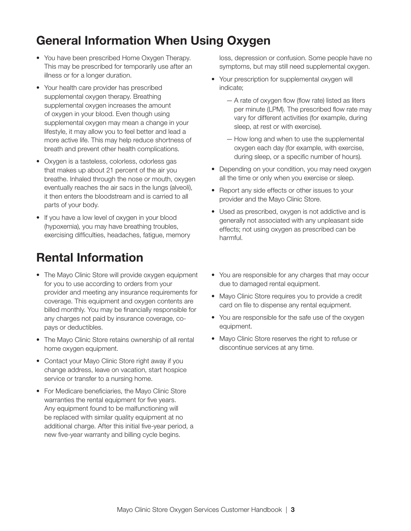#### General Information When Using Oxygen

- You have been prescribed Home Oxygen Therapy. This may be prescribed for temporarily use after an illness or for a longer duration.
- Your health care provider has prescribed supplemental oxygen therapy. Breathing supplemental oxygen increases the amount of oxygen in your blood. Even though using supplemental oxygen may mean a change in your lifestyle, it may allow you to feel better and lead a more active life. This may help reduce shortness of breath and prevent other health complications.
- Oxygen is a tasteless, colorless, odorless gas that makes up about 21 percent of the air you breathe. Inhaled through the nose or mouth, oxygen eventually reaches the air sacs in the lungs (alveoli), it then enters the bloodstream and is carried to all parts of your body.
- If you have a low level of oxygen in your blood (hypoxemia), you may have breathing troubles, exercising difficulties, headaches, fatigue, memory

#### Rental Information

- The Mayo Clinic Store will provide oxygen equipment for you to use according to orders from your provider and meeting any insurance requirements for coverage. This equipment and oxygen contents are billed monthly. You may be financially responsible for any charges not paid by insurance coverage, copays or deductibles.
- The Mayo Clinic Store retains ownership of all rental home oxygen equipment.
- Contact your Mayo Clinic Store right away if you change address, leave on vacation, start hospice service or transfer to a nursing home.
- For Medicare beneficiaries, the Mayo Clinic Store warranties the rental equipment for five years. Any equipment found to be malfunctioning will be replaced with similar quality equipment at no additional charge. After this initial five-year period, a new five-year warranty and billing cycle begins.

loss, depression or confusion. Some people have no symptoms, but may still need supplemental oxygen.

- Your prescription for supplemental oxygen will indicate;
	- A rate of oxygen flow (flow rate) listed as liters per minute (LPM). The prescribed flow rate may vary for different activities (for example, during sleep, at rest or with exercise).
	- How long and when to use the supplemental oxygen each day (for example, with exercise, during sleep, or a specific number of hours).
- Depending on your condition, you may need oxygen all the time or only when you exercise or sleep.
- Report any side effects or other issues to your provider and the Mayo Clinic Store.
- Used as prescribed, oxygen is not addictive and is generally not associated with any unpleasant side effects; not using oxygen as prescribed can be harmful.
- You are responsible for any charges that may occur due to damaged rental equipment.
- Mayo Clinic Store requires you to provide a credit card on file to dispense any rental equipment.
- You are responsible for the safe use of the oxygen equipment.
- Mayo Clinic Store reserves the right to refuse or discontinue services at any time.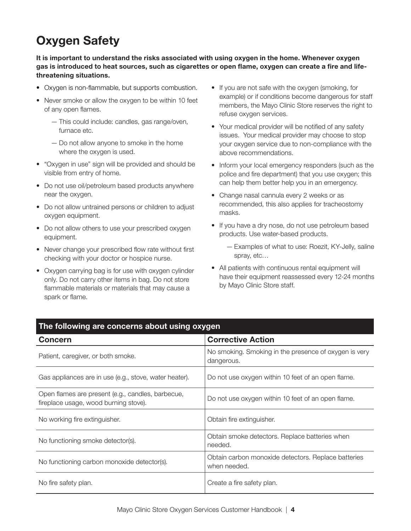### Oxygen Safety

It is important to understand the risks associated with using oxygen in the home. Whenever oxygen gas is introduced to heat sources, such as cigarettes or open flame, oxygen can create a fire and lifethreatening situations.

- Oxygen is non-flammable, but supports combustion.
- Never smoke or allow the oxygen to be within 10 feet of any open flames.
	- This could include: candles, gas range/oven, furnace etc.
	- Do not allow anyone to smoke in the home where the oxygen is used.
- "Oxygen in use" sign will be provided and should be visible from entry of home.
- Do not use oil/petroleum based products anywhere near the oxygen.
- Do not allow untrained persons or children to adjust oxygen equipment.
- Do not allow others to use your prescribed oxygen equipment.
- Never change your prescribed flow rate without first checking with your doctor or hospice nurse.
- Oxygen carrying bag is for use with oxygen cylinder only. Do not carry other items in bag. Do not store flammable materials or materials that may cause a spark or flame.
- If you are not safe with the oxygen (smoking, for example) or if conditions become dangerous for staff members, the Mayo Clinic Store reserves the right to refuse oxygen services.
- Your medical provider will be notified of any safety issues. Your medical provider may choose to stop your oxygen service due to non-compliance with the above recommendations.
- Inform your local emergency responders (such as the police and fire department) that you use oxygen; this can help them better help you in an emergency.
- Change nasal cannula every 2 weeks or as recommended, this also applies for tracheostomy masks.
- If you have a dry nose, do not use petroleum based products. Use water-based products.
	- Examples of what to use: Roezit, KY-Jelly, saline spray, etc…
- All patients with continuous rental equipment will have their equipment reassessed every 12-24 months by Mayo Clinic Store staff.

| The following are concerns about using oxygen                                              |                                                                     |  |  |
|--------------------------------------------------------------------------------------------|---------------------------------------------------------------------|--|--|
| <b>Concern</b>                                                                             | <b>Corrective Action</b>                                            |  |  |
| Patient, caregiver, or both smoke.                                                         | No smoking. Smoking in the presence of oxygen is very<br>dangerous. |  |  |
| Gas appliances are in use (e.g., stove, water heater).                                     | Do not use oxygen within 10 feet of an open flame.                  |  |  |
| Open flames are present (e.g., candles, barbecue,<br>fireplace usage, wood burning stove). | Do not use oxygen within 10 feet of an open flame.                  |  |  |
| No working fire extinguisher.                                                              | Obtain fire extinguisher.                                           |  |  |
| No functioning smoke detector(s).                                                          | Obtain smoke detectors. Replace batteries when<br>needed.           |  |  |
| No functioning carbon monoxide detector(s).                                                | Obtain carbon monoxide detectors. Replace batteries<br>when needed. |  |  |
| No fire safety plan.                                                                       | Create a fire safety plan.                                          |  |  |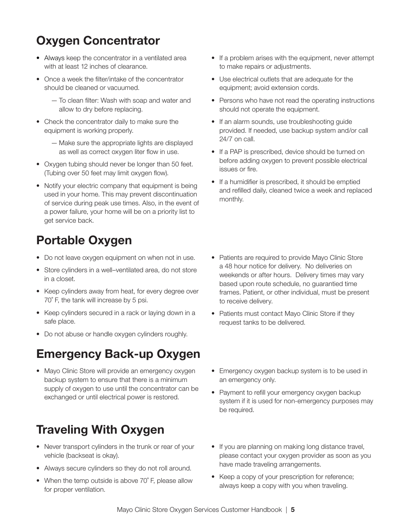### Oxygen Concentrator

- Always keep the concentrator in a ventilated area with at least 12 inches of clearance.
- Once a week the filter/intake of the concentrator should be cleaned or vacuumed.
	- To clean filter: Wash with soap and water and allow to dry before replacing.
- Check the concentrator daily to make sure the equipment is working properly.
	- Make sure the appropriate lights are displayed as well as correct oxygen liter flow in use.
- Oxygen tubing should never be longer than 50 feet. (Tubing over 50 feet may limit oxygen flow).
- Notify your electric company that equipment is being used in your home. This may prevent discontinuation of service during peak use times. Also, in the event of a power failure, your home will be on a priority list to get service back.

### Portable Oxygen

- Do not leave oxygen equipment on when not in use.
- Store cylinders in a well-ventilated area, do not store in a closet.
- Keep cylinders away from heat, for every degree over 70˚ F, the tank will increase by 5 psi.
- Keep cylinders secured in a rack or laying down in a safe place.
- Do not abuse or handle oxygen cylinders roughly.

## Emergency Back-up Oxygen

• Mayo Clinic Store will provide an emergency oxygen backup system to ensure that there is a minimum supply of oxygen to use until the concentrator can be exchanged or until electrical power is restored.

# Traveling With Oxygen

- Never transport cylinders in the trunk or rear of your vehicle (backseat is okay).
- Always secure cylinders so they do not roll around.
- When the temp outside is above 70° F, please allow for proper ventilation.
- If a problem arises with the equipment, never attempt to make repairs or adjustments.
- Use electrical outlets that are adequate for the equipment; avoid extension cords.
- Persons who have not read the operating instructions should not operate the equipment.
- If an alarm sounds, use troubleshooting guide provided. If needed, use backup system and/or call 24/7 on call.
- If a PAP is prescribed, device should be turned on before adding oxygen to prevent possible electrical issues or fire.
- If a humidifier is prescribed, it should be emptied and refilled daily, cleaned twice a week and replaced monthly.
- Patients are required to provide Mayo Clinic Store a 48 hour notice for delivery. No deliveries on weekends or after hours. Delivery times may vary based upon route schedule, no guarantied time frames. Patient, or other individual, must be present to receive delivery.
- Patients must contact Mayo Clinic Store if they request tanks to be delivered.
- Emergency oxygen backup system is to be used in an emergency only.
- Payment to refill your emergency oxygen backup system if it is used for non-emergency purposes may be required.
- If you are planning on making long distance travel, please contact your oxygen provider as soon as you have made traveling arrangements.
- Keep a copy of your prescription for reference; always keep a copy with you when traveling.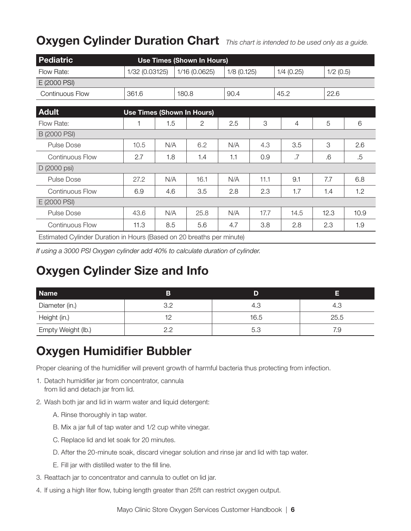#### Oxygen Cylinder Duration Chart *This chart is intended to be used only as a guide.*

| Pediatric                                                             |                |     | <b>Use Times (Shown In Hours)</b> |               |      |                |             |      |
|-----------------------------------------------------------------------|----------------|-----|-----------------------------------|---------------|------|----------------|-------------|------|
| Flow Rate:                                                            | 1/32 (0.03125) |     | 1/16 (0.0625)                     | $1/8$ (0.125) |      | $1/4$ (0.25)   | $1/2$ (0.5) |      |
| E (2000 PSI)                                                          |                |     |                                   |               |      |                |             |      |
| <b>Continuous Flow</b>                                                | 361.6          |     | 180.8                             | 90.4          |      | 45.2           | 22.6        |      |
|                                                                       |                |     |                                   |               |      |                |             |      |
| <b>Adult</b>                                                          |                |     | <b>Use Times (Shown In Hours)</b> |               |      |                |             |      |
| Flow Rate:                                                            |                | 1.5 | 2                                 | 2.5           | 3    | $\overline{4}$ | 5           | 6    |
| B (2000 PSI)                                                          |                |     |                                   |               |      |                |             |      |
| <b>Pulse Dose</b>                                                     | 10.5           | N/A | 6.2                               | N/A           | 4.3  | 3.5            | 3           | 2.6  |
| <b>Continuous Flow</b>                                                | 2.7            | 1.8 | 1.4                               | 1.1           | 0.9  | .7             | .6          | .5   |
| D (2000 psi)                                                          |                |     |                                   |               |      |                |             |      |
| <b>Pulse Dose</b>                                                     | 27.2           | N/A | 16.1                              | N/A           | 11.1 | 9.1            | 7.7         | 6.8  |
| <b>Continuous Flow</b>                                                | 6.9            | 4.6 | 3.5                               | 2.8           | 2.3  | 1.7            | 1.4         | 1.2  |
| E (2000 PSI)                                                          |                |     |                                   |               |      |                |             |      |
| <b>Pulse Dose</b>                                                     | 43.6           | N/A | 25.8                              | N/A           | 17.7 | 14.5           | 12.3        | 10.9 |
| Continuous Flow                                                       | 11.3           | 8.5 | 5.6                               | 4.7           | 3.8  | 2.8            | 2.3         | 1.9  |
| Estimated Cylinder Duration in Hours (Based on 20 breaths per minute) |                |     |                                   |               |      |                |             |      |

*If using a 3000 PSI Oxygen cylinder add 40% to calculate duration of cylinder.*

#### Oxygen Cylinder Size and Info

| <b>Name</b>        | В  | D    | Е    |
|--------------------|----|------|------|
| Diameter (in.)     | つつ | 4.3  | 4.3  |
| Height (in.)       |    | 16.5 | 25.5 |
| Empty Weight (lb.) | っっ | 5.3  | ي /  |

#### Oxygen Humidifier Bubbler

Proper cleaning of the humidifier will prevent growth of harmful bacteria thus protecting from infection.

- 1. Detach humidifier jar from concentrator, cannula from lid and detach jar from lid.
- 2. Wash both jar and lid in warm water and liquid detergent:
	- A. Rinse thoroughly in tap water.
	- B. Mix a jar full of tap water and 1/2 cup white vinegar.
	- C. Replace lid and let soak for 20 minutes.
	- D. After the 20-minute soak, discard vinegar solution and rinse jar and lid with tap water.
	- E. Fill jar with distilled water to the fill line.
- 3. Reattach jar to concentrator and cannula to outlet on lid jar.
- 4. If using a high liter flow, tubing length greater than 25ft can restrict oxygen output.

Mayo Clinic Store Oxygen Services Customer Handbook | 6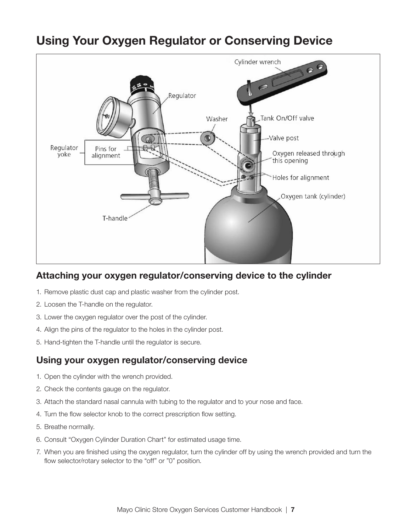

### Using Your Oxygen Regulator or Conserving Device

#### Attaching your oxygen regulator/conserving device to the cylinder

- 1. Remove plastic dust cap and plastic washer from the cylinder post.
- 2. Loosen the T-handle on the regulator.
- 3. Lower the oxygen regulator over the post of the cylinder.
- 4. Align the pins of the regulator to the holes in the cylinder post.
- 5. Hand-tighten the T-handle until the regulator is secure.

#### Using your oxygen regulator/conserving device

- 1. Open the cylinder with the wrench provided.
- 2. Check the contents gauge on the regulator.
- 3. Attach the standard nasal cannula with tubing to the regulator and to your nose and face.
- 4. Turn the flow selector knob to the correct prescription flow setting.
- 5. Breathe normally.
- 6. Consult "Oxygen Cylinder Duration Chart" for estimated usage time.
- 7. When you are finished using the oxygen regulator, turn the cylinder off by using the wrench provided and turn the flow selector/rotary selector to the "off" or "0" position.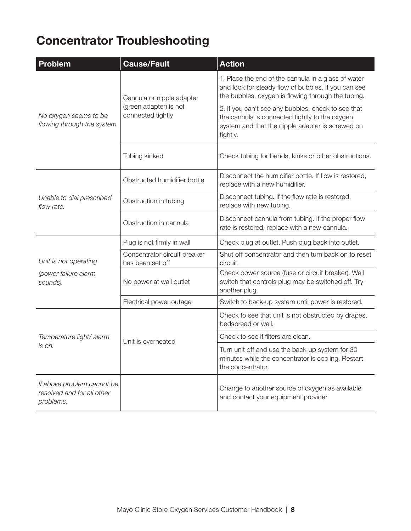## Concentrator Troubleshooting

| Problem                                                               | <b>Cause/Fault</b>                               | <b>Action</b>                                                                                                                                                        |  |
|-----------------------------------------------------------------------|--------------------------------------------------|----------------------------------------------------------------------------------------------------------------------------------------------------------------------|--|
| No oxygen seems to be<br>flowing through the system.                  | Cannula or nipple adapter                        | 1. Place the end of the cannula in a glass of water<br>and look for steady flow of bubbles. If you can see<br>the bubbles, oxygen is flowing through the tubing.     |  |
|                                                                       | (green adapter) is not<br>connected tightly      | 2. If you can't see any bubbles, check to see that<br>the cannula is connected tightly to the oxygen<br>system and that the nipple adapter is screwed on<br>tightly. |  |
|                                                                       | Tubing kinked                                    | Check tubing for bends, kinks or other obstructions.                                                                                                                 |  |
|                                                                       | Obstructed humidifier bottle                     | Disconnect the humidifier bottle. If flow is restored,<br>replace with a new humidifier.                                                                             |  |
| Unable to dial prescribed<br>flow rate.                               | Obstruction in tubing                            | Disconnect tubing. If the flow rate is restored,<br>replace with new tubing.                                                                                         |  |
|                                                                       | Obstruction in cannula                           | Disconnect cannula from tubing. If the proper flow<br>rate is restored, replace with a new cannula.                                                                  |  |
|                                                                       | Plug is not firmly in wall                       | Check plug at outlet. Push plug back into outlet.                                                                                                                    |  |
| Unit is not operating<br>(power failure alarm<br>sounds).             | Concentrator circuit breaker<br>has been set off | Shut off concentrator and then turn back on to reset<br>circuit.                                                                                                     |  |
|                                                                       | No power at wall outlet                          | Check power source (fuse or circuit breaker). Wall<br>switch that controls plug may be switched off. Try<br>another plug.                                            |  |
|                                                                       | Electrical power outage                          | Switch to back-up system until power is restored.                                                                                                                    |  |
| Temperature light/ alarm<br>is on.                                    |                                                  | Check to see that unit is not obstructed by drapes,<br>bedspread or wall.                                                                                            |  |
|                                                                       | Unit is overheated                               | Check to see if filters are clean.                                                                                                                                   |  |
|                                                                       |                                                  | Turn unit off and use the back-up system for 30<br>minutes while the concentrator is cooling. Restart<br>the concentrator.                                           |  |
| If above problem cannot be<br>resolved and for all other<br>problems. |                                                  | Change to another source of oxygen as available<br>and contact your equipment provider.                                                                              |  |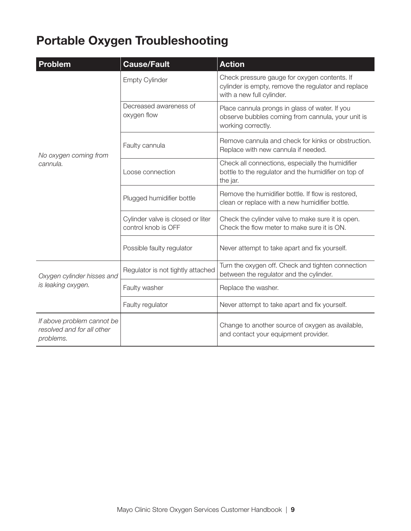## Portable Oxygen Troubleshooting

| <b>Problem</b>                                                        | <b>Cause/Fault</b>                                       | <b>Action</b>                                                                                                                    |  |
|-----------------------------------------------------------------------|----------------------------------------------------------|----------------------------------------------------------------------------------------------------------------------------------|--|
|                                                                       | <b>Empty Cylinder</b>                                    | Check pressure gauge for oxygen contents. If<br>cylinder is empty, remove the regulator and replace<br>with a new full cylinder. |  |
|                                                                       | Decreased awareness of<br>oxygen flow                    | Place cannula prongs in glass of water. If you<br>observe bubbles coming from cannula, your unit is<br>working correctly.        |  |
| No oxygen coming from                                                 | Faulty cannula                                           | Remove cannula and check for kinks or obstruction.<br>Replace with new cannula if needed.                                        |  |
| cannula.                                                              | Loose connection                                         | Check all connections, especially the humidifier<br>bottle to the regulator and the humidifier on top of<br>the jar.             |  |
|                                                                       | Plugged humidifier bottle                                | Remove the humidifier bottle. If flow is restored,<br>clean or replace with a new humidifier bottle.                             |  |
|                                                                       | Cylinder valve is closed or liter<br>control knob is OFF | Check the cylinder valve to make sure it is open.<br>Check the flow meter to make sure it is ON.                                 |  |
|                                                                       | Possible faulty regulator                                | Never attempt to take apart and fix yourself.                                                                                    |  |
| Oxygen cylinder hisses and<br>is leaking oxygen.                      | Regulator is not tightly attached                        | Turn the oxygen off. Check and tighten connection<br>between the regulator and the cylinder.                                     |  |
|                                                                       | Faulty washer                                            | Replace the washer.                                                                                                              |  |
|                                                                       | Faulty regulator                                         | Never attempt to take apart and fix yourself.                                                                                    |  |
| If above problem cannot be<br>resolved and for all other<br>problems. |                                                          | Change to another source of oxygen as available,<br>and contact your equipment provider.                                         |  |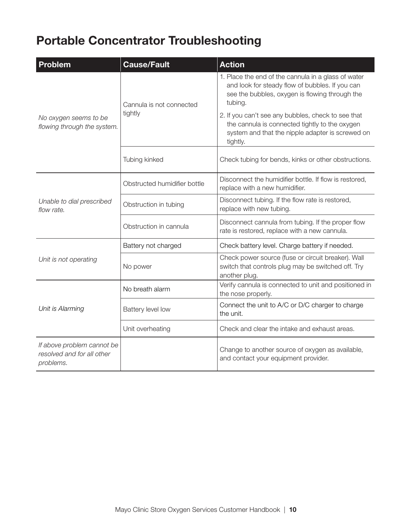## Portable Concentrator Troubleshooting

| <b>Problem</b>                                                        | <b>Cause/Fault</b>           | <b>Action</b>                                                                                                                                                        |  |
|-----------------------------------------------------------------------|------------------------------|----------------------------------------------------------------------------------------------------------------------------------------------------------------------|--|
| No oxygen seems to be<br>flowing through the system.                  | Cannula is not connected     | 1. Place the end of the cannula in a glass of water<br>and look for steady flow of bubbles. If you can<br>see the bubbles, oxygen is flowing through the<br>tubing.  |  |
|                                                                       | tightly                      | 2. If you can't see any bubbles, check to see that<br>the cannula is connected tightly to the oxygen<br>system and that the nipple adapter is screwed on<br>tightly. |  |
|                                                                       | Tubing kinked                | Check tubing for bends, kinks or other obstructions.                                                                                                                 |  |
| Unable to dial prescribed<br>flow rate.                               | Obstructed humidifier bottle | Disconnect the humidifier bottle. If flow is restored,<br>replace with a new humidifier.                                                                             |  |
|                                                                       | Obstruction in tubing        | Disconnect tubing. If the flow rate is restored,<br>replace with new tubing.                                                                                         |  |
|                                                                       | Obstruction in cannula       | Disconnect cannula from tubing. If the proper flow<br>rate is restored, replace with a new cannula.                                                                  |  |
| Unit is not operating                                                 | Battery not charged          | Check battery level. Charge battery if needed.                                                                                                                       |  |
|                                                                       | No power                     | Check power source (fuse or circuit breaker). Wall<br>switch that controls plug may be switched off. Try<br>another plug.                                            |  |
| Unit is Alarming                                                      | No breath alarm              | Verify cannula is connected to unit and positioned in<br>the nose properly.                                                                                          |  |
|                                                                       | Battery level low            | Connect the unit to A/C or D/C charger to charge<br>the unit.                                                                                                        |  |
|                                                                       | Unit overheating             | Check and clear the intake and exhaust areas.                                                                                                                        |  |
| If above problem cannot be<br>resolved and for all other<br>problems. |                              | Change to another source of oxygen as available,<br>and contact your equipment provider.                                                                             |  |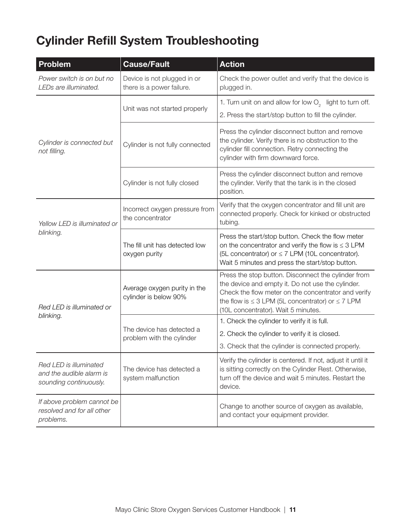# Cylinder Refill System Troubleshooting

| <b>Problem</b>                                                               | <b>Cause/Fault</b>                                       | <b>Action</b>                                                                                                                                                                                                                                                        |  |
|------------------------------------------------------------------------------|----------------------------------------------------------|----------------------------------------------------------------------------------------------------------------------------------------------------------------------------------------------------------------------------------------------------------------------|--|
| Power switch is on but no<br>LEDs are illuminated.                           | Device is not plugged in or<br>there is a power failure. | Check the power outlet and verify that the device is<br>plugged in.                                                                                                                                                                                                  |  |
|                                                                              | Unit was not started properly                            | 1. Turn unit on and allow for low O <sub>2</sub> light to turn off.                                                                                                                                                                                                  |  |
|                                                                              |                                                          | 2. Press the start/stop button to fill the cylinder.                                                                                                                                                                                                                 |  |
| Cylinder is connected but<br>not filling.                                    | Cylinder is not fully connected                          | Press the cylinder disconnect button and remove<br>the cylinder. Verify there is no obstruction to the<br>cylinder fill connection. Retry connecting the<br>cylinder with firm downward force.                                                                       |  |
|                                                                              | Cylinder is not fully closed                             | Press the cylinder disconnect button and remove<br>the cylinder. Verify that the tank is in the closed<br>position.                                                                                                                                                  |  |
| Yellow LED is illuminated or<br>blinking.                                    | Incorrect oxygen pressure from<br>the concentrator       | Verify that the oxygen concentrator and fill unit are<br>connected properly. Check for kinked or obstructed<br>tubing.                                                                                                                                               |  |
|                                                                              | The fill unit has detected low<br>oxygen purity          | Press the start/stop button. Check the flow meter<br>on the concentrator and verify the flow is $\leq$ 3 LPM<br>(5L concentrator) or $\leq$ 7 LPM (10L concentrator).<br>Wait 5 minutes and press the start/stop button.                                             |  |
| Red LED is illuminated or                                                    | Average oxygen purity in the<br>cylinder is below 90%    | Press the stop button. Disconnect the cylinder from<br>the device and empty it. Do not use the cylinder.<br>Check the flow meter on the concentrator and verify<br>the flow is $\leq$ 3 LPM (5L concentrator) or $\leq$ 7 LPM<br>(10L concentrator). Wait 5 minutes. |  |
| blinking.                                                                    | The device has detected a<br>problem with the cylinder   | 1. Check the cylinder to verify it is full.                                                                                                                                                                                                                          |  |
|                                                                              |                                                          | 2. Check the cylinder to verify it is closed.                                                                                                                                                                                                                        |  |
|                                                                              |                                                          | 3. Check that the cylinder is connected properly.                                                                                                                                                                                                                    |  |
| Red LED is illuminated<br>and the audible alarm is<br>sounding continuously. | The device has detected a<br>system malfunction          | Verify the cylinder is centered. If not, adjust it until it<br>is sitting correctly on the Cylinder Rest. Otherwise,<br>turn off the device and wait 5 minutes. Restart the<br>device.                                                                               |  |
| If above problem cannot be<br>resolved and for all other<br>problems.        |                                                          | Change to another source of oxygen as available,<br>and contact your equipment provider.                                                                                                                                                                             |  |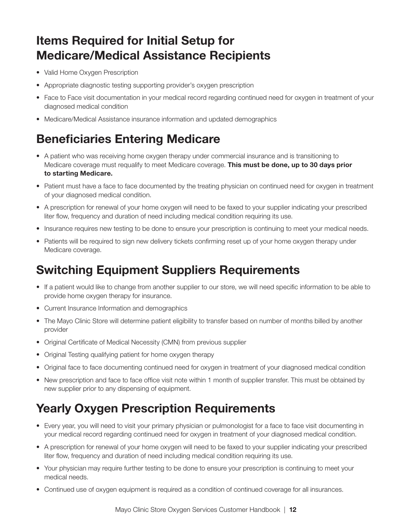#### Items Required for Initial Setup for Medicare/Medical Assistance Recipients

- Valid Home Oxygen Prescription
- Appropriate diagnostic testing supporting provider's oxygen prescription
- Face to Face visit documentation in your medical record regarding continued need for oxygen in treatment of your diagnosed medical condition
- Medicare/Medical Assistance insurance information and updated demographics

#### Beneficiaries Entering Medicare

- A patient who was receiving home oxygen therapy under commercial insurance and is transitioning to Medicare coverage must requalify to meet Medicare coverage. This must be done, up to 30 days prior to starting Medicare.
- Patient must have a face to face documented by the treating physician on continued need for oxygen in treatment of your diagnosed medical condition.
- A prescription for renewal of your home oxygen will need to be faxed to your supplier indicating your prescribed liter flow, frequency and duration of need including medical condition requiring its use.
- Insurance requires new testing to be done to ensure your prescription is continuing to meet your medical needs.
- Patients will be required to sign new delivery tickets confirming reset up of your home oxygen therapy under Medicare coverage.

#### Switching Equipment Suppliers Requirements

- If a patient would like to change from another supplier to our store, we will need specific information to be able to provide home oxygen therapy for insurance.
- Current Insurance Information and demographics
- The Mayo Clinic Store will determine patient eligibility to transfer based on number of months billed by another provider
- Original Certificate of Medical Necessity (CMN) from previous supplier
- Original Testing qualifying patient for home oxygen therapy
- Original face to face documenting continued need for oxygen in treatment of your diagnosed medical condition
- New prescription and face to face office visit note within 1 month of supplier transfer. This must be obtained by new supplier prior to any dispensing of equipment.

#### Yearly Oxygen Prescription Requirements

- Every year, you will need to visit your primary physician or pulmonologist for a face to face visit documenting in your medical record regarding continued need for oxygen in treatment of your diagnosed medical condition.
- A prescription for renewal of your home oxygen will need to be faxed to your supplier indicating your prescribed liter flow, frequency and duration of need including medical condition requiring its use.
- Your physician may require further testing to be done to ensure your prescription is continuing to meet your medical needs.
- Continued use of oxygen equipment is required as a condition of continued coverage for all insurances.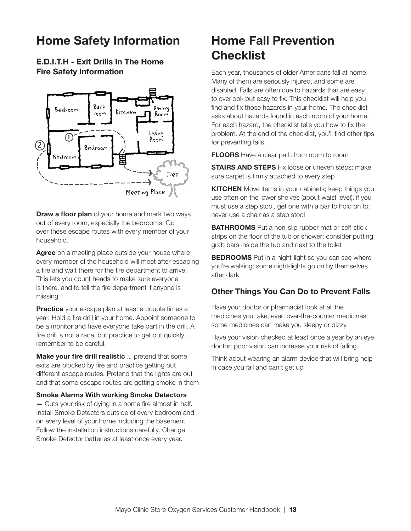#### Home Safety Information

E.D.I.T.H - Exit Drills In The Home Fire Safety Information



**Draw a floor plan** of your home and mark two ways out of every room, especially the bedrooms. Go over these escape routes with every member of your household.

Agree on a meeting place outside your house where every member of the household will meet after escaping a fire and wait there for the fire department to arrive. This lets you count heads to make sure everyone is there, and to tell the fire department if anyone is missing.

Practice your escape plan at least a couple times a year. Hold a fire drill in your home. Appoint someone to be a monitor and have everyone take part in the drill. A fire drill is not a race, but practice to get out quickly ... remember to be careful.

Make your fire drill realistic ... pretend that some exits are blocked by fire and practice getting out different escape routes. Pretend that the lights are out and that some escape routes are getting smoke in them

#### Smoke Alarms With working Smoke Detectors

— Cuts your risk of dying in a home fire almost in half. Install Smoke Detectors outside of every bedroom and on every level of your home including the basement. Follow the installation instructions carefully. Change Smoke Detector batteries at least once every year.

#### Home Fall Prevention **Checklist**

Each year, thousands of older Americans fall at home. Many of them are seriously injured, and some are disabled. Falls are often due to hazards that are easy to overlook but easy to fix. This checklist will help you find and fix those hazards in your home. The checklist asks about hazards found in each room of your home. For each hazard, the checklist tells you how to fix the problem. At the end of the checklist, you'll find other tips for preventing falls.

**FLOORS** Have a clear path from room to room

**STAIRS AND STEPS** Fix loose or uneven steps; make sure carpet is firmly attached to every step

**KITCHEN** Move items in your cabinets; keep things you use often on the lower shelves (about waist level), if you must use a step stool, get one with a bar to hold on to; never use a chair as a step stool

**BATHROOMS** Put a non-slip rubber mat or self-stick strips on the floor of the tub or shower; consider putting grab bars inside the tub and next to the toilet

**BEDROOMS** Put in a night-light so you can see where you're walking; some night-lights go on by themselves after dark

#### Other Things You Can Do to Prevent Falls

Have your doctor or pharmacist look at all the medicines you take, even over-the-counter medicines; some medicines can make you sleepy or dizzy

Have your vision checked at least once a year by an eye doctor; poor vision can increase your risk of falling.

Think about wearing an alarm device that will bring help in case you fall and can't get up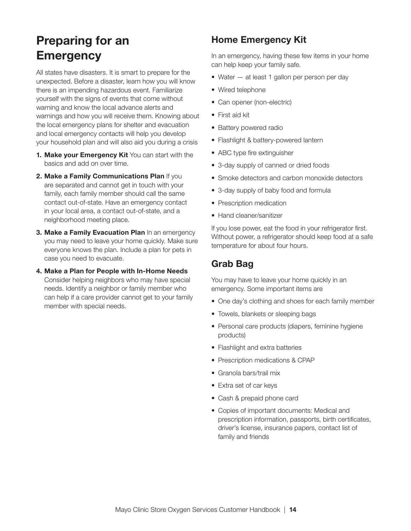#### Preparing for an **Emergency**

All states have disasters. It is smart to prepare for the unexpected. Before a disaster, learn how you will know there is an impending hazardous event. Familiarize yourself with the signs of events that come without warning and know the local advance alerts and warnings and how you will receive them. Knowing about the local emergency plans for shelter and evacuation and local emergency contacts will help you develop your household plan and will also aid you during a crisis

- 1. Make your Emergency Kit You can start with the basics and add on over time.
- 2. Make a Family Communications Plan If you are separated and cannot get in touch with your family, each family member should call the same contact out-of-state. Have an emergency contact in your local area, a contact out-of-state, and a neighborhood meeting place.
- 3. Make a Family Evacuation Plan In an emergency you may need to leave your home quickly. Make sure everyone knows the plan. Include a plan for pets in case you need to evacuate.
- 4. Make a Plan for People with In-Home Needs Consider helping neighbors who may have special needs. Identify a neighbor or family member who can help if a care provider cannot get to your family member with special needs.

#### Home Emergency Kit

In an emergency, having these few items in your home can help keep your family safe.

- Water at least 1 gallon per person per day
- Wired telephone
- Can opener (non-electric)
- First aid kit
- Battery powered radio
- Flashlight & battery-powered lantern
- ABC type fire extinguisher
- 3-day supply of canned or dried foods
- Smoke detectors and carbon monoxide detectors
- 3-day supply of baby food and formula
- Prescription medication
- Hand cleaner/sanitizer

If you lose power, eat the food in your refrigerator first. Without power, a refrigerator should keep food at a safe temperature for about four hours.

#### Grab Bag

You may have to leave your home quickly in an emergency. Some important items are

- One day's clothing and shoes for each family member
- Towels, blankets or sleeping bags
- Personal care products (diapers, feminine hygiene products)
- Flashlight and extra batteries
- Prescription medications & CPAP
- Granola bars/trail mix
- Extra set of car keys
- Cash & prepaid phone card
- Copies of important documents: Medical and prescription information, passports, birth certificates, driver's license, insurance papers, contact list of family and friends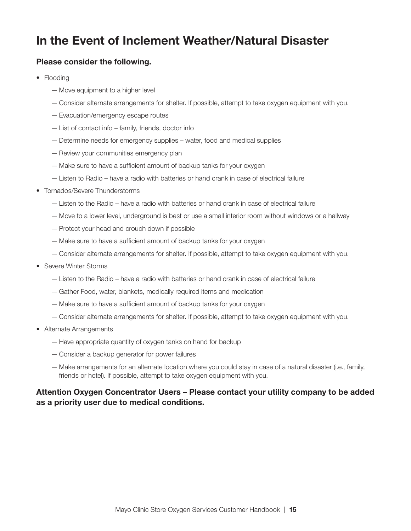#### In the Event of Inclement Weather/Natural Disaster

#### Please consider the following.

- Flooding
	- Move equipment to a higher level
	- Consider alternate arrangements for shelter. If possible, attempt to take oxygen equipment with you.
	- Evacuation/emergency escape routes
	- List of contact info family, friends, doctor info
	- Determine needs for emergency supplies water, food and medical supplies
	- Review your communities emergency plan
	- Make sure to have a sufficient amount of backup tanks for your oxygen
	- Listen to Radio have a radio with batteries or hand crank in case of electrical failure
- Tornados/Severe Thunderstorms
	- Listen to the Radio have a radio with batteries or hand crank in case of electrical failure
	- Move to a lower level, underground is best or use a small interior room without windows or a hallway
	- Protect your head and crouch down if possible
	- Make sure to have a sufficient amount of backup tanks for your oxygen
	- Consider alternate arrangements for shelter. If possible, attempt to take oxygen equipment with you.
- Severe Winter Storms
	- Listen to the Radio have a radio with batteries or hand crank in case of electrical failure
	- Gather Food, water, blankets, medically required items and medication
	- Make sure to have a sufficient amount of backup tanks for your oxygen
	- Consider alternate arrangements for shelter. If possible, attempt to take oxygen equipment with you.
- Alternate Arrangements
	- Have appropriate quantity of oxygen tanks on hand for backup
	- Consider a backup generator for power failures
	- Make arrangements for an alternate location where you could stay in case of a natural disaster (i.e., family, friends or hotel). If possible, attempt to take oxygen equipment with you.

#### Attention Oxygen Concentrator Users – Please contact your utility company to be added as a priority user due to medical conditions.